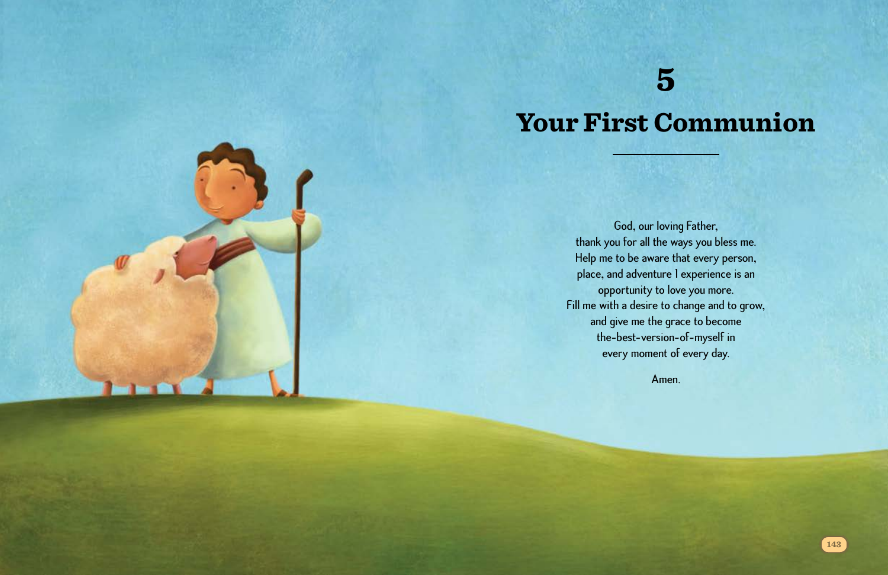# **Your First Communion**

# **5**

God, our loving Father, thank you for all the ways you bless me. Help me to be aware that every person, place, and adventure I experience is an opportunity to love you more. Fill me with a desire to change and to grow, and give me the grace to become the-best-version-of-myself in every moment of every day.



Amen.

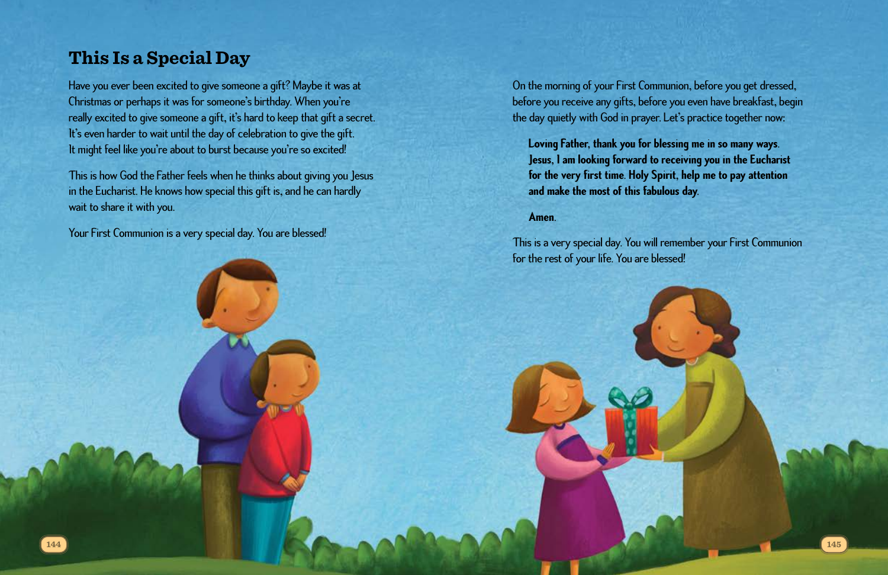# **This Is a Special Day**

Have you ever been excited to give someone a gift? Maybe it was at Christmas or perhaps it was for someone's birthday. When you're really excited to give someone a gift, it's hard to keep that gift a secret. It's even harder to wait until the day of celebration to give the gift. It might feel like you're about to burst because you're so excited!

This is how God the Father feels when he thinks about giving you Jesus in the Eucharist. He knows how special this gift is, and he can hardly wait to share it with you.

Your First Communion is a very special day. You are blessed!

On the morning of your First Communion, before you get dressed, before you receive any gifts, before you even have breakfast, begin the day quietly with God in prayer. Let's practice together now:

**Loving Father, thank you for blessing me in so many ways. Jesus, I am looking forward to receiving you in the Eucharist for the very first time. Holy Spirit, help me to pay attention and make the most of this fabulous day.**

**Amen.** 

This is a very special day. You will remember your First Communion for the rest of your life. You are blessed!

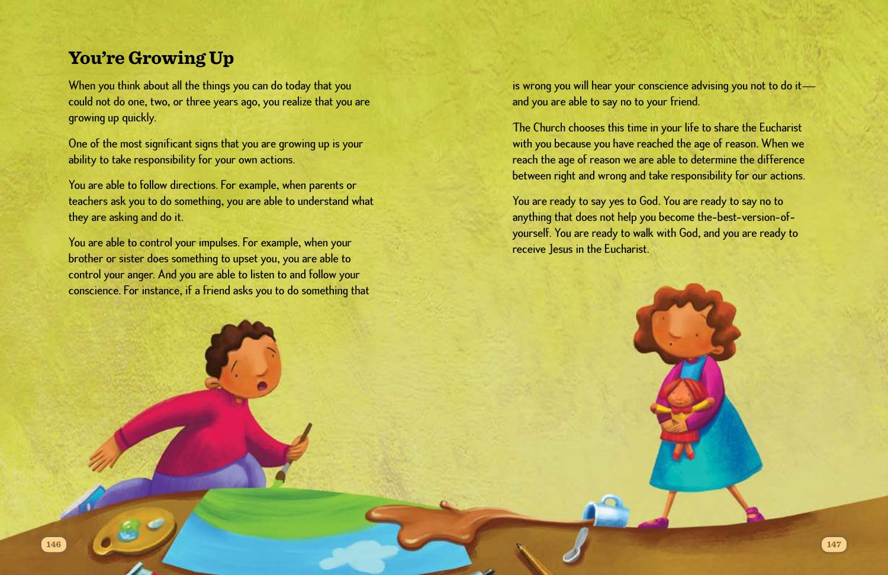# **You're Growing Up**

When you think about all the things you can do today that you could not do one, two, or three years ago, you realize that you are growing up quickly.

One of the most significant signs that you are growing up is your ability to take responsibility for your own actions.

You are able to follow directions. For example, when parents or teachers ask you to do something, you are able to understand what they are asking and do it.

You are able to control your impulses. For example, when your brother or sister does something to upset you, you are able to control your anger. And you are able to listen to and follow your conscience. For instance, if a friend asks you to do something that is wrong you will hear your conscience advising you not to do it and you are able to say no to your friend.

The Church chooses this time in your life to share the Eucharist with you because you have reached the age of reason. When we reach the age of reason we are able to determine the difference between right and wrong and take responsibility for our actions.

You are ready to say yes to God. You are ready to say no to anything that does not help you become the-best-version-ofyourself. You are ready to walk with God, and you are ready to receive Jesus in the Eucharist.



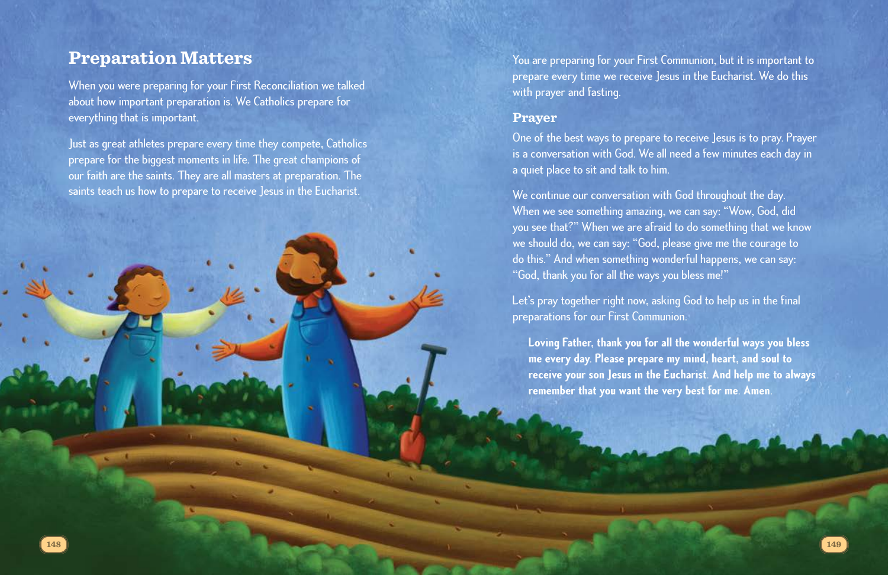#### **Preparation Matters**

When you were preparing for your First Reconciliation we talked about how important preparation is. We Catholics prepare for everything that is important.

Just as great athletes prepare every time they compete, Catholics prepare for the biggest moments in life. The great champions of our faith are the saints. They are all masters at preparation. The saints teach us how to prepare to receive Jesus in the Eucharist.

You are preparing for your First Communion, but it is important to prepare every time we receive Jesus in the Eucharist. We do this with prayer and fasting.

#### **Prayer**

One of the best ways to prepare to receive Jesus is to pray. Prayer is a conversation with God. We all need a few minutes each day in a quiet place to sit and talk to him.

We continue our conversation with God throughout the day. When we see something amazing, we can say: "Wow, God, did you see that?" When we are afraid to do something that we know we should do, we can say: "God, please give me the courage to do this." And when something wonderful happens, we can say: "God, thank you for all the ways you bless me!"

Let's pray together right now, asking God to help us in the final preparations for our First Communion.

**Loving Father, thank you for all the wonderful ways you bless me every day. Please prepare my mind, heart, and soul to receive your son Jesus in the Eucharist. And help me to always remember that you want the very best for me. Amen.** 

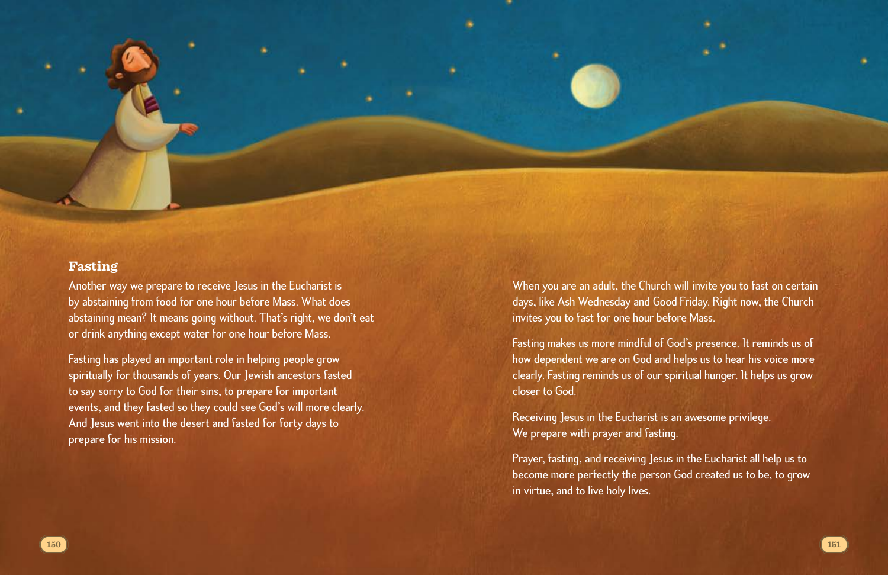#### **Fasting**

Another way we prepare to receive Jesus in the Eucharist is by abstaining from food for one hour before Mass. What does abstaining mean? It means going without. That's right, we don't eat or drink anything except water for one hour before Mass.

Fasting has played an important role in helping people grow spiritually for thousands of years. Our Jewish ancestors fasted to say sorry to God for their sins, to prepare for important events, and they fasted so they could see God's will more clearly. And Jesus went into the desert and fasted for forty days to prepare for his mission.

When you are an adult, the Church will invite you to fast on certain days, like Ash Wednesday and Good Friday. Right now, the Church invites you to fast for one hour before Mass.

Fasting makes us more mindful of God's presence. It reminds us of how dependent we are on God and helps us to hear his voice more clearly. Fasting reminds us of our spiritual hunger. It helps us grow closer to God.

Receiving Jesus in the Eucharist is an awesome privilege. We prepare with prayer and fasting.

Prayer, fasting, and receiving Jesus in the Eucharist all help us to become more perfectly the person God created us to be, to grow in virtue, and to live holy lives.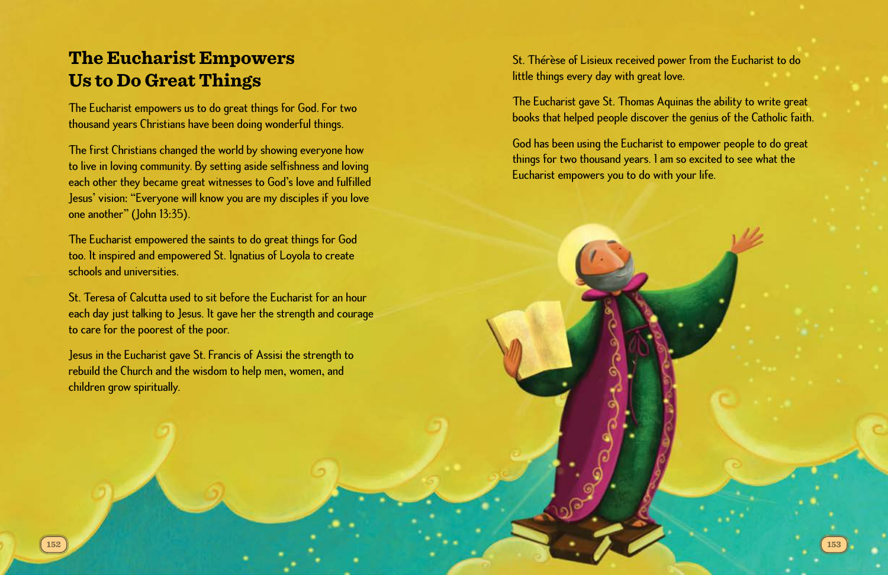# **The Eucharist Empowers Us to Do Great Things**

The Eucharist empowers us to do great things for God. For two thousand years Christians have been doing wonderful things.

The first Christians changed the world by showing everyone how to live in loving community. By setting aside selfishness and loving each other they became great witnesses to God's love and fulfilled Jesus' vision: "Everyone will know you are my disciples if you love one another" (John 13:35).

The Eucharist empowered the saints to do great things for God too. It inspired and empowered St. Ignatius of Loyola to create schools and universities.

St. Teresa of Calcutta used to sit before the Eucharist for an hour each day just talking to Jesus. It gave her the strength and courage to care for the poorest of the poor.

Jesus in the Eucharist gave St. Francis of Assisi the strength to rebuild the Church and the wisdom to help men, women, and children grow spiritually.

St. Thérèse of Lisieux received power from the Eucharist to do little things every day with great love.

The Eucharist gave St. Thomas Aquinas the ability to write great books that helped people discover the genius of the Catholic faith.

God has been using the Eucharist to empower people to do great things for two thousand years. I am so excited to see what the Eucharist empowers you to do with your life.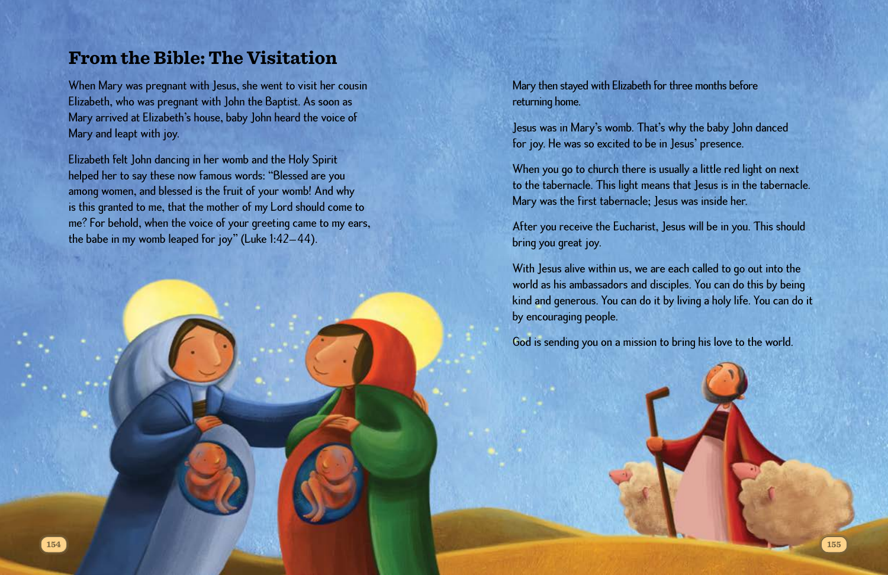## **From the Bible: The Visitation**

When Mary was pregnant with Jesus, she went to visit her cousin Elizabeth, who was pregnant with John the Baptist. As soon as Mary arrived at Elizabeth's house, baby John heard the voice of Mary and leapt with joy.

Elizabeth felt John dancing in her womb and the Holy Spirit helped her to say these now famous words: "Blessed are you among women, and blessed is the fruit of your womb! And why is this granted to me, that the mother of my Lord should come to me? For behold, when the voice of your greeting came to my ears, the babe in my womb leaped for joy" (Luke 1:42–44).

Mary then stayed with Elizabeth for three months before returning home.

Jesus was in Mary's womb. That's why the baby John danced for joy. He was so excited to be in Jesus' presence.

When you go to church there is usually a little red light on next to the tabernacle. This light means that Jesus is in the tabernacle. Mary was the first tabernacle; Jesus was inside her.

After you receive the Eucharist, Jesus will be in you. This should bring you great joy.

With Jesus alive within us, we are each called to go out into the world as his ambassadors and disciples. You can do this by being kind and generous. You can do it by living a holy life. You can do it by encouraging people.

God is sending you on a mission to bring his love to the world.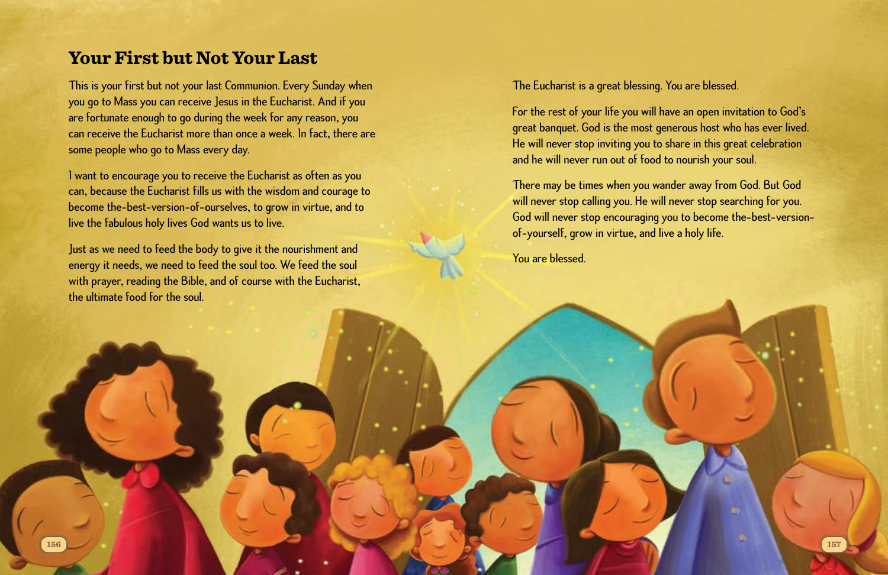The Eucharist is a great blessing. You are blessed.

For the rest of your life you will have an open invitation to God's great banquet. God is the most generous host who has ever lived. He will never stop inviting you to share in this great celebration and he will never run out of food to nourish your soul.

There may be times when you wander away from God. But God will never stop calling you. He will never stop searching for you. God will never stop encouraging you to become the-best-versionof-yourself, grow in virtue, and live a holy life.

You are blessed.

### **Your First but Not Your Last**

This is your first but not your last Communion. Every Sunday when you go to Mass you can receive Jesus in the Eucharist. And if you are fortunate enough to go during the week for any reason, you can receive the Eucharist more than once a week. In fact, there are some people who go to Mass every day.

I want to encourage you to receive the Eucharist as often as you can, because the Eucharist fills us with the wisdom and courage to become the-best-version-of-ourselves, to grow in virtue, and to live the fabulous holy lives God wants us to live.

Just as we need to feed the body to give it the nourishment and energy it needs, we need to feed the soul too. We feed the soul with prayer, reading the Bible, and of course with the Eucharist, the ultimate food for the soul.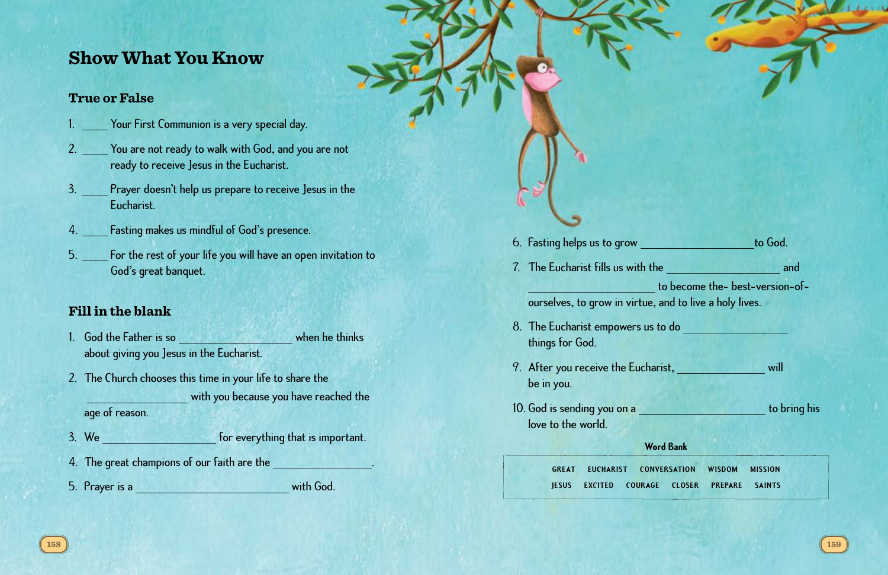## **Show What You Know**

#### **True or False**

- Your First Communion is a very special day.
- 2. You are not ready to walk with God, and you are not ready to receive Jesus in the Eucharist.
- 3. Prayer doesn't help us prepare to receive Jesus in the Eucharist.
- 4. Fasting makes us mindful of God's presence.
- 5. For the rest of your life you will have an open invitation to God's great banquet.

#### **Fill in the blank**

- 1. God the Father is so when he thinks about giving you Jesus in the Eucharist.
- 2. The Church chooses this time in your life to share the with you because you have reached the age of reason.
- 3. We Same State of the everything that is important.
- 4. The great champions of our faith are the
- 5. Prayer is a with God.
- 6. Fasting helps us to grow
- 7. The Eucharist fills us with the

- 8. The Eucharist empowers us things for God.
- 9. After you receive the Euchar be in you.
- 10. God is sending you on a love to the world.

| Fasting helps us to grow                                                                                                     | to God.                                                            |
|------------------------------------------------------------------------------------------------------------------------------|--------------------------------------------------------------------|
| The Eucharist fills us with the                                                                                              | and                                                                |
| ourselves, to grow in virtue, and to live a holy lives.<br>The Eucharist empowers us to do<br>things for God.                | to become the- best-version-of-                                    |
| After you receive the Eucharist, $\_$<br>be in you.                                                                          | will                                                               |
| God is sending you on a<br>love to the world.                                                                                | to bring his                                                       |
| <b>Word Bank</b>                                                                                                             |                                                                    |
| <b>CONVERSATION</b><br><b>GREAT</b><br><b>EUCHARIST</b><br><b>JESUS</b><br><b>EXCITED</b><br><b>COURAGE</b><br><b>CLOSER</b> | <b>WISDOM</b><br><b>MISSION</b><br><b>PREPARE</b><br><b>SAINTS</b> |

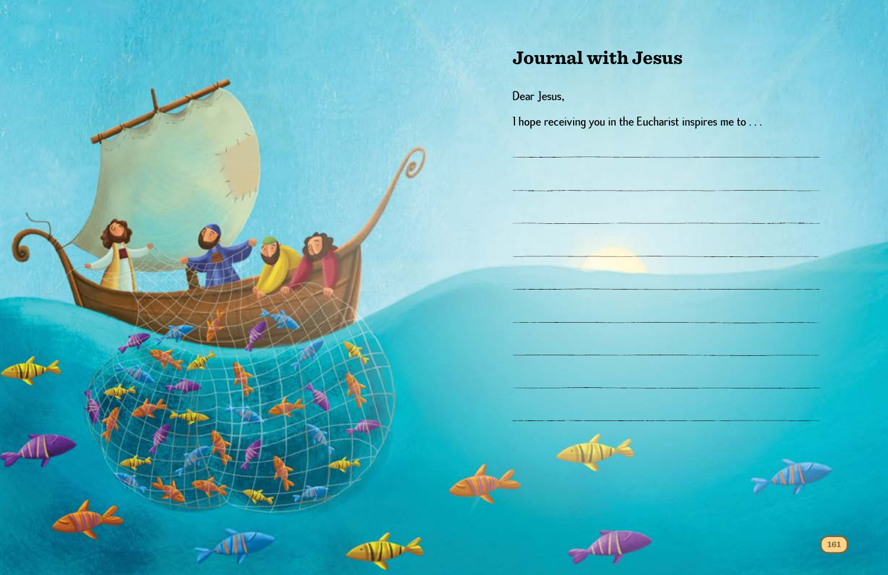# **Journal with Jesus**

Dear Jesus,

کس

I hope receiving you in the Eucharist inspires me to . . .